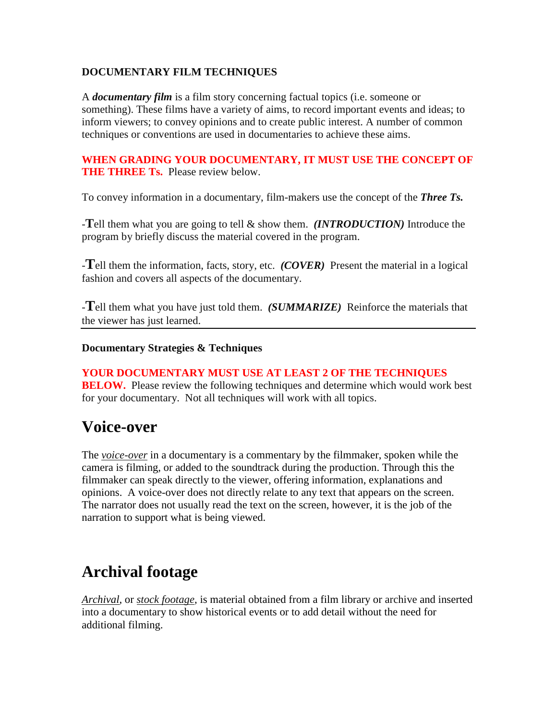#### **DOCUMENTARY FILM TECHNIQUES**

A *documentary film* is a film story concerning factual topics (i.e. someone or something). These films have a variety of aims, to record important events and ideas; to inform viewers; to convey opinions and to create public interest. A number of common techniques or conventions are used in documentaries to achieve these aims.

#### **WHEN GRADING YOUR DOCUMENTARY, IT MUST USE THE CONCEPT OF THE THREE Ts.** Please review below.

To convey information in a documentary, film-makers use the concept of the *Three Ts.* 

-**T**ell them what you are going to tell & show them. *(INTRODUCTION)* Introduce the program by briefly discuss the material covered in the program.

-**T**ell them the information, facts, story, etc. *(COVER)* Present the material in a logical fashion and covers all aspects of the documentary.

-**T**ell them what you have just told them. *(SUMMARIZE)* Reinforce the materials that the viewer has just learned.

### **Documentary Strategies & Techniques**

# **YOUR DOCUMENTARY MUST USE AT LEAST 2 OF THE TECHNIQUES**

**BELOW.** Please review the following techniques and determine which would work best for your documentary. Not all techniques will work with all topics.

### **Voice-over**

The *voice-over* in a documentary is a commentary by the filmmaker, spoken while the camera is filming, or added to the soundtrack during the production. Through this the filmmaker can speak directly to the viewer, offering information, explanations and opinions. A voice-over does not directly relate to any text that appears on the screen. The narrator does not usually read the text on the screen, however, it is the job of the narration to support what is being viewed.

## **Archival footage**

*Archival*, or *stock footage*, is material obtained from a film library or archive and inserted into a documentary to show historical events or to add detail without the need for additional filming.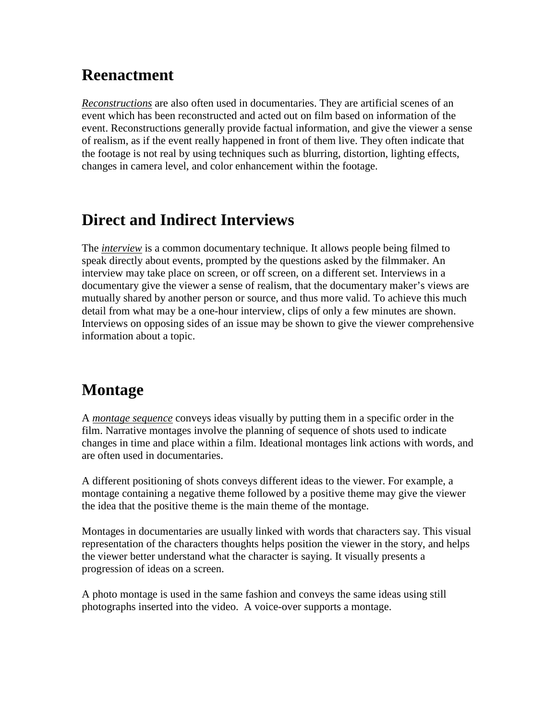## **Reenactment**

*Reconstructions* are also often used in documentaries. They are artificial scenes of an event which has been reconstructed and acted out on film based on information of the event. Reconstructions generally provide factual information, and give the viewer a sense of realism, as if the event really happened in front of them live. They often indicate that the footage is not real by using techniques such as blurring, distortion, lighting effects, changes in camera level, and color enhancement within the footage.

## **Direct and Indirect Interviews**

The *interview* is a common documentary technique. It allows people being filmed to speak directly about events, prompted by the questions asked by the filmmaker. An interview may take place on screen, or off screen, on a different set. Interviews in a documentary give the viewer a sense of realism, that the documentary maker's views are mutually shared by another person or source, and thus more valid. To achieve this much detail from what may be a one-hour interview, clips of only a few minutes are shown. Interviews on opposing sides of an issue may be shown to give the viewer comprehensive information about a topic.

## **Montage**

A *montage sequence* conveys ideas visually by putting them in a specific order in the film. Narrative montages involve the planning of sequence of shots used to indicate changes in time and place within a film. Ideational montages link actions with words, and are often used in documentaries.

A different positioning of shots conveys different ideas to the viewer. For example, a montage containing a negative theme followed by a positive theme may give the viewer the idea that the positive theme is the main theme of the montage.

Montages in documentaries are usually linked with words that characters say. This visual representation of the characters thoughts helps position the viewer in the story, and helps the viewer better understand what the character is saying. It visually presents a progression of ideas on a screen.

A photo montage is used in the same fashion and conveys the same ideas using still photographs inserted into the video. A voice-over supports a montage.